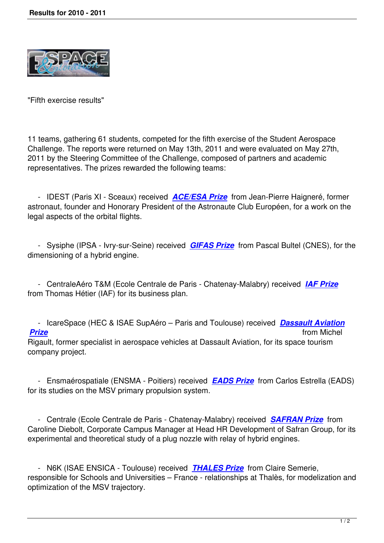

"Fifth exercise results"

11 teams, gathering 61 students, competed for the fifth exercise of the Student Aerospace Challenge. The reports were returned on May 13th, 2011 and were evaluated on May 27th, 2011 by the Steering Committee of the Challenge, composed of partners and academic representatives. The prizes rewarded the following teams:

 - IDEST (Paris XI - Sceaux) received *ACE/ESA Prize* from Jean-Pierre Haigneré, former astronaut, founder and Honorary President of the Astronaute Club Européen, for a work on the legal aspects of the orbital flights.

 - Sysiphe (IPSA - Ivry-sur-Seine) received *GIFAS Prize* from Pascal Bultel (CNES), for the dimensioning of a hybrid engine.

 - CentraleAéro T&M (Ecole Centrale de Pa[ris - Chatenay](/popup/2010_2011/gifas_us.html)-Malabry) received *IAF Prize* from Thomas Hétier (IAF) for its business plan.

 - IcareSpace (HEC & ISAE SupAéro – Paris and Toulouse) received *Dassa[ult Aviatio](/popup/2010_2011/iaf_us.html)n Prize* from Michel Rigault, former specialist in aerospace vehicles at Dassault Aviation, for its space tourism company project.

 - Ensmaérospatiale (ENSMA - Poitiers) received *EADS Prize* from Carlos Estrella (EADS) for its studies on the MSV primary propulsion system.

 - Centrale (Ecole Centrale de Paris - Chatenay-M[alabry\) receiv](/popup/2010_2011/eads_us.html)ed *SAFRAN Prize* from Caroline Diebolt, Corporate Campus Manager at Head HR Development of Safran Group, for its experimental and theoretical study of a plug nozzle with relay of hybrid engines.

 - N6K (ISAE ENSICA - Toulouse) received *THALES Prize* from Claire Semerie, responsible for Schools and Universities – France - relationships at Thalès, for modelization and optimization of the MSV trajectory.